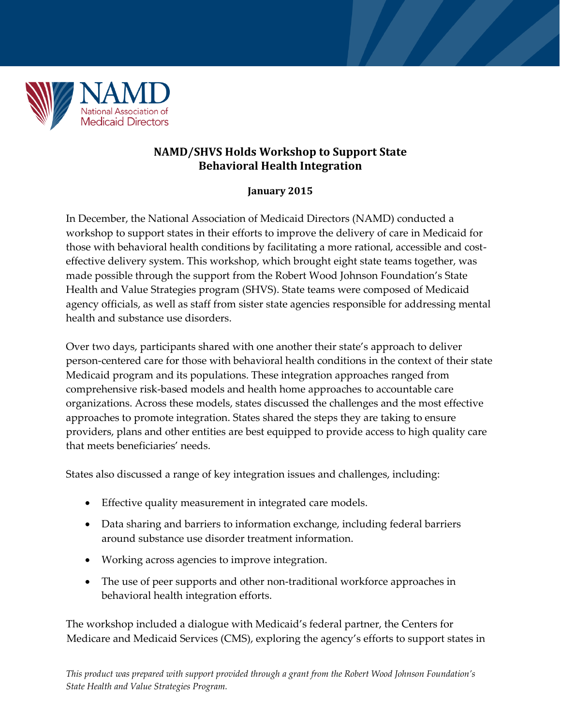

## **NAMD/SHVS Holds Workshop to Support State Behavioral Health Integration**

## **January 2015**

In December, the National Association of Medicaid Directors (NAMD) conducted a workshop to support states in their efforts to improve the delivery of care in Medicaid for those with behavioral health conditions by facilitating a more rational, accessible and costeffective delivery system. This workshop, which brought eight state teams together, was made possible through the support from the Robert Wood Johnson Foundation's State Health and Value Strategies program (SHVS). State teams were composed of Medicaid agency officials, as well as staff from sister state agencies responsible for addressing mental health and substance use disorders.

Over two days, participants shared with one another their state's approach to deliver person-centered care for those with behavioral health conditions in the context of their state Medicaid program and its populations. These integration approaches ranged from comprehensive risk-based models and health home approaches to accountable care organizations. Across these models, states discussed the challenges and the most effective approaches to promote integration. States shared the steps they are taking to ensure providers, plans and other entities are best equipped to provide access to high quality care that meets beneficiaries' needs.

States also discussed a range of key integration issues and challenges, including:

- Effective quality measurement in integrated care models.
- Data sharing and barriers to information exchange, including federal barriers around substance use disorder treatment information.
- Working across agencies to improve integration.
- The use of peer supports and other non-traditional workforce approaches in behavioral health integration efforts.

The workshop included a dialogue with Medicaid's federal partner, the Centers for Medicare and Medicaid Services (CMS), exploring the agency's efforts to support states in